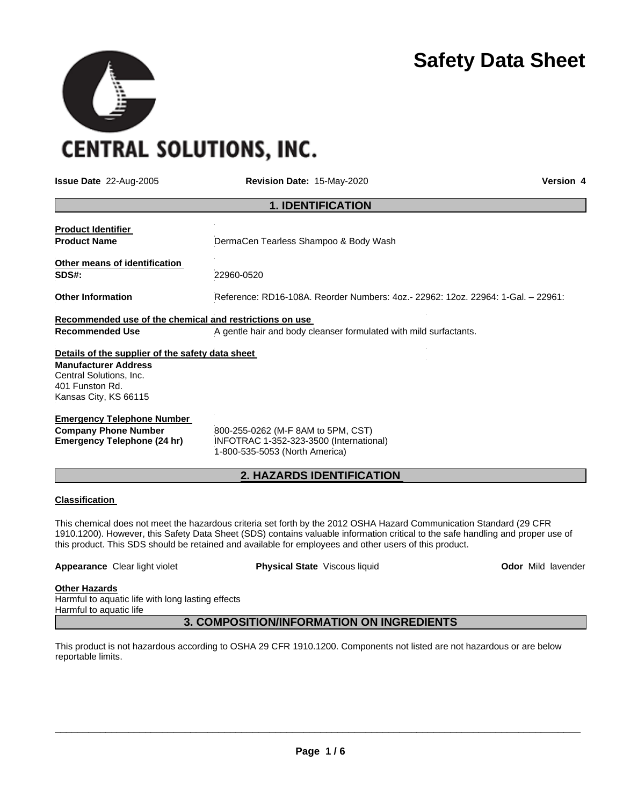

# **CENTRAL SOLUTIONS, INC.**

**Issue Date** 22-Aug-2005 **Revision Date:** 15-May-2020 **Version 4**

| <b>1. IDENTIFICATION</b>                                                                                                                                                                                                  |                                                                                  |  |  |
|---------------------------------------------------------------------------------------------------------------------------------------------------------------------------------------------------------------------------|----------------------------------------------------------------------------------|--|--|
| <b>Product Identifier</b><br><b>Product Name</b>                                                                                                                                                                          | DermaCen Tearless Shampoo & Body Wash                                            |  |  |
| Other means of identification<br>SDS#:                                                                                                                                                                                    | 22960-0520                                                                       |  |  |
| <b>Other Information</b>                                                                                                                                                                                                  | Reference: RD16-108A. Reorder Numbers: 4oz.- 22962: 12oz. 22964: 1-Gal. - 22961: |  |  |
| Recommended use of the chemical and restrictions on use<br>A gentle hair and body cleanser formulated with mild surfactants.<br><b>Recommended Use</b>                                                                    |                                                                                  |  |  |
| Details of the supplier of the safety data sheet                                                                                                                                                                          |                                                                                  |  |  |
| <b>Manufacturer Address</b><br>Central Solutions, Inc.<br>401 Funston Rd.<br>Kansas City, KS 66115                                                                                                                        |                                                                                  |  |  |
| <b>Emergency Telephone Number</b><br><b>Company Phone Number</b><br>800-255-0262 (M-F 8AM to 5PM, CST)<br><b>Emergency Telephone (24 hr)</b><br>INFOTRAC 1-352-323-3500 (International)<br>1-800-535-5053 (North America) |                                                                                  |  |  |
| <b>2. HAZARDS IDENTIFICATION</b>                                                                                                                                                                                          |                                                                                  |  |  |

#### **Classification**

This chemical does not meet the hazardous criteria set forth by the 2012 OSHA Hazard Communication Standard (29 CFR 1910.1200). However, this Safety Data Sheet (SDS) contains valuable information critical to the safe handling and proper use of this product. This SDS should be retained and available for employees and other users of this product.

| <b>Appearance Clear light violet</b> | <b>Physical State</b> Viscous liquid | <b>Odor</b> Mild lavender |
|--------------------------------------|--------------------------------------|---------------------------|
| Other Heresda                        |                                      |                           |

#### **Other Hazards**

Harmful to aquatic life with long lasting effects Harmful to aquatic life

**3. COMPOSITION/INFORMATION ON INGREDIENTS** 

This product is not hazardous according to OSHA 29 CFR 1910.1200. Components not listed are not hazardous or are below reportable limits.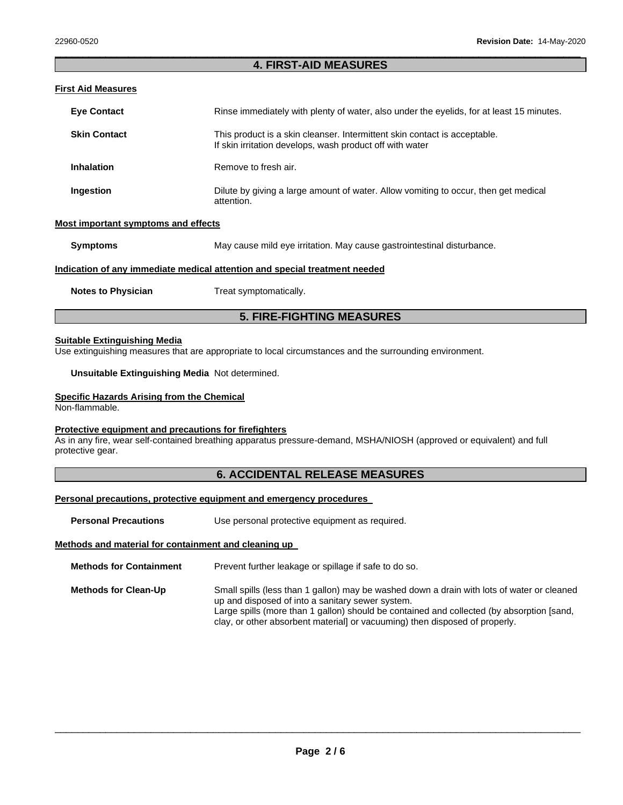### \_\_\_\_\_\_\_\_\_\_\_\_\_\_\_\_\_\_\_\_\_\_\_\_\_\_\_\_\_\_\_\_\_\_\_\_\_\_\_\_\_\_\_\_\_\_\_\_\_\_\_\_\_\_\_\_\_\_\_\_\_\_\_\_\_\_\_\_\_\_\_\_\_\_\_\_\_\_\_\_\_\_\_\_\_\_\_\_\_\_\_\_\_ **4. FIRST-AID MEASURES**

# **First Aid Measures**

| <b>Eye Contact</b>  | Rinse immediately with plenty of water, also under the eyelids, for at least 15 minutes.                                              |
|---------------------|---------------------------------------------------------------------------------------------------------------------------------------|
| <b>Skin Contact</b> | This product is a skin cleanser. Intermittent skin contact is acceptable.<br>If skin irritation develops, wash product off with water |
| <b>Inhalation</b>   | Remove to fresh air.                                                                                                                  |
| Ingestion           | Dilute by giving a large amount of water. Allow vomiting to occur, then get medical<br>attention.                                     |

# **Most important symptoms and effects**

**Symptoms May cause mild eye irritation. May cause gastrointestinal disturbance.** 

#### **Indication of any immediate medical attention and special treatment needed**

**Notes to Physician Treat symptomatically.** 

# **5. FIRE-FIGHTING MEASURES**

#### **Suitable Extinguishing Media**

Use extinguishing measures that are appropriate to local circumstances and the surrounding environment.

**Unsuitable Extinguishing Media** Not determined.

#### **Specific Hazards Arising from the Chemical**

Non-flammable.

## **Protective equipment and precautions for firefighters**

As in any fire, wear self-contained breathing apparatus pressure-demand, MSHA/NIOSH (approved or equivalent) and full protective gear.

# **6. ACCIDENTAL RELEASE MEASURES**

#### **Personal precautions, protective equipment and emergency procedures**

**Personal Precautions Use personal protective equipment as required.** 

#### **Methods and material for containment and cleaning up**

| <b>Methods for Containment</b> | Prevent further leakage or spillage if safe to do so.                                                                                                                                                                                                                                                                     |  |
|--------------------------------|---------------------------------------------------------------------------------------------------------------------------------------------------------------------------------------------------------------------------------------------------------------------------------------------------------------------------|--|
| <b>Methods for Clean-Up</b>    | Small spills (less than 1 gallon) may be washed down a drain with lots of water or cleaned<br>up and disposed of into a sanitary sewer system.<br>Large spills (more than 1 gallon) should be contained and collected (by absorption [sand,<br>clay, or other absorbent material or vacuuming) then disposed of properly. |  |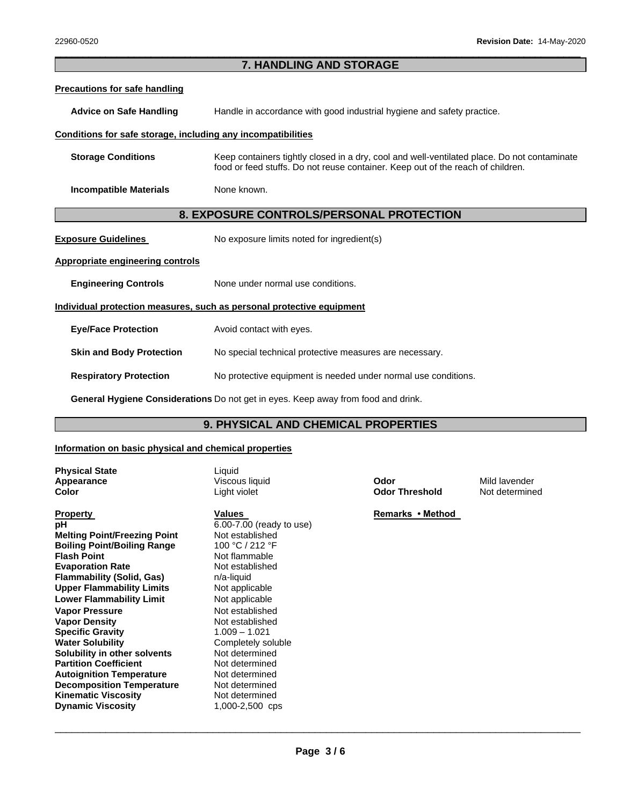## \_\_\_\_\_\_\_\_\_\_\_\_\_\_\_\_\_\_\_\_\_\_\_\_\_\_\_\_\_\_\_\_\_\_\_\_\_\_\_\_\_\_\_\_\_\_\_\_\_\_\_\_\_\_\_\_\_\_\_\_\_\_\_\_\_\_\_\_\_\_\_\_\_\_\_\_\_\_\_\_\_\_\_\_\_\_\_\_\_\_\_\_\_ **7. HANDLING AND STORAGE**

#### **Precautions for safe handling**

**Advice on Safe Handling** Handle in accordance with good industrial hygiene and safety practice.

#### **Conditions for safe storage, including any incompatibilities**

| <b>Storage Conditions</b> | Keep containers tightly closed in a dry, cool and well-ventilated place. Do not contaminate |
|---------------------------|---------------------------------------------------------------------------------------------|
|                           | food or feed stuffs. Do not reuse container. Keep out of the reach of children.             |

**Incompatible Materials None known.** 

## **8. EXPOSURE CONTROLS/PERSONAL PROTECTION**

| <b>Exposure Guidelines</b> | No exposure limits noted for ingredient(s) |
|----------------------------|--------------------------------------------|
|----------------------------|--------------------------------------------|

**Appropriate engineering controls**

**Engineering Controls None under normal use conditions.** 

#### **Individual protection measures, such as personal protective equipment**

| <b>Eye/Face Protection</b> | Avoid contact with eyes. |
|----------------------------|--------------------------|
|----------------------------|--------------------------|

**Skin and Body Protection** No special technical protective measures are necessary.

**Respiratory Protection No protective equipment is needed under normal use conditions.** 

**General Hygiene Considerations** Do not get in eyes. Keep away from food and drink.

# **9. PHYSICAL AND CHEMICAL PROPERTIES**

#### **Information on basic physical and chemical properties**

| <b>Physical State</b> |  |
|-----------------------|--|
| Appearance            |  |
| Color                 |  |

**Property Contains Transformation Values Remarks • Method Remarks • Method pH** 6.00-7.00 (ready to use) **Melting Point/Freezing Point Westablished Boiling Point/Boiling Range** 100 °C / 212 °F **Flash Point Not flammable Evaporation Rate Not established Flammability (Solid, Gas) n/a-liquid Upper Flammability Limits** Not applicable **Lower Flammability Limit** Not applicable **Vapor Pressure Not established Vapor Density** Not established **Specific Gravity<br>Water Solubility Solubility in other solvents Partition Coefficient Not determined Autoignition Temperature** Not determined **Decomposition Temperature** Not determined **Kinematic Viscosity Not determined Dynamic Viscosity 1,000-2,500 cps** 

Liquid

Completely soluble<br>Not determined

Viscous liquid **Appendix Contract Codor Contract Contract Contract Contract Contract Contract Contract Contract Contract Contract Contract Contract Contract Contract Contract Contract Contract Contract Contract Contract Co Color Threshold** Not determined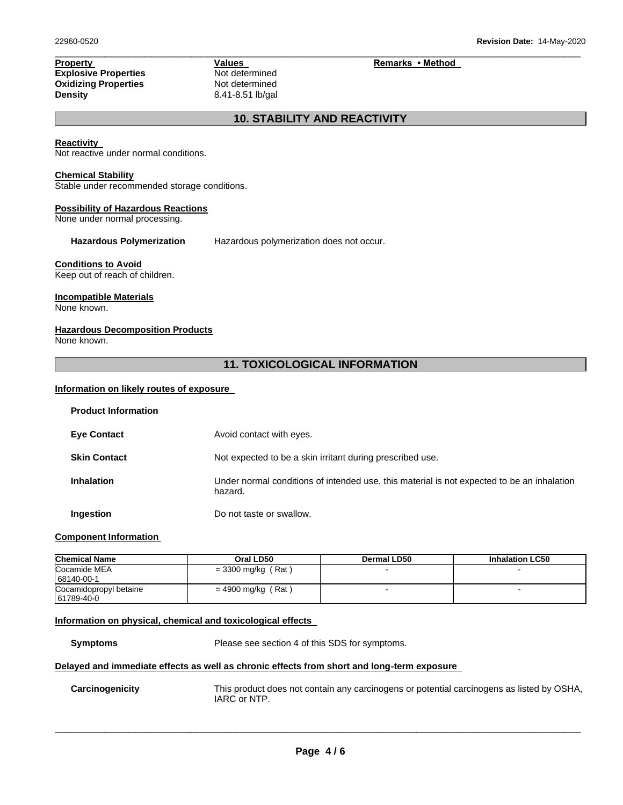**Explosive Properties**<br> **Oxidizing Properties**<br>
Not determined **Oxidizing Properties<br>Density** 

**Density** 8.41-8.51 lb/gal

**Property Values Values Remarks • Method** 

# **10. STABILITY AND REACTIVITY**

\_\_\_\_\_\_\_\_\_\_\_\_\_\_\_\_\_\_\_\_\_\_\_\_\_\_\_\_\_\_\_\_\_\_\_\_\_\_\_\_\_\_\_\_\_\_\_\_\_\_\_\_\_\_\_\_\_\_\_\_\_\_\_\_\_\_\_\_\_\_\_\_\_\_\_\_\_\_\_\_\_\_\_\_\_\_\_\_\_\_\_\_\_

#### **Reactivity**

Not reactive under normal conditions.

#### **Chemical Stability**

Stable under recommended storage conditions.

#### **Possibility of Hazardous Reactions**

None under normal processing.

**Hazardous Polymerization** Hazardous polymerization does not occur.

#### **Conditions to Avoid**

Keep out of reach of children.

## **Incompatible Materials**

None known.

#### **Hazardous Decomposition Products**

None known.

# **11. TOXICOLOGICAL INFORMATION**

#### **Information on likely routes of exposure**

| <b>Product Information</b> |                                                                                                       |
|----------------------------|-------------------------------------------------------------------------------------------------------|
| <b>Eye Contact</b>         | Avoid contact with eyes.                                                                              |
| <b>Skin Contact</b>        | Not expected to be a skin irritant during prescribed use.                                             |
| <b>Inhalation</b>          | Under normal conditions of intended use, this material is not expected to be an inhalation<br>hazard. |
| Ingestion                  | Do not taste or swallow.                                                                              |

#### **Component Information**

| <b>Chemical Name</b>                 | Oral LD50            | Dermal LD50 | <b>Inhalation LC50</b> |
|--------------------------------------|----------------------|-------------|------------------------|
| Cocamide MEA<br>68140-00-1           | $=$ 3300 mg/kg (Rat) |             |                        |
| Cocamidopropyl betaine<br>61789-40-0 | $= 4900$ mg/kg (Rat) |             | $\sim$                 |

## **Information on physical, chemical and toxicological effects**

**Symptoms** Please see section 4 of this SDS for symptoms.

# **Delayed and immediate effects as well as chronic effects from short and long-term exposure**

**Carcinogenicity** This product does not contain any carcinogens or potential carcinogens as listed by OSHA, IARC or NTP.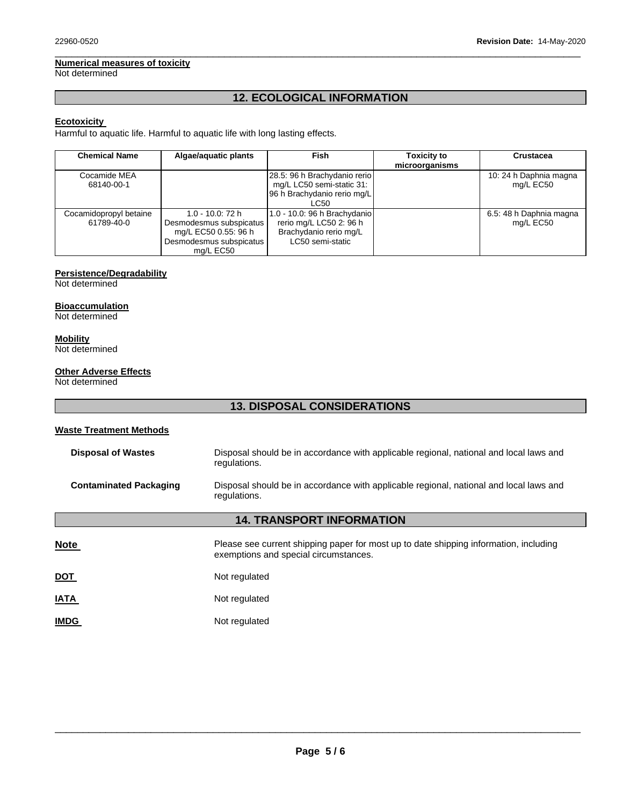# **Numerical measures of toxicity**

Not determined

# **12. ECOLOGICAL INFORMATION**

\_\_\_\_\_\_\_\_\_\_\_\_\_\_\_\_\_\_\_\_\_\_\_\_\_\_\_\_\_\_\_\_\_\_\_\_\_\_\_\_\_\_\_\_\_\_\_\_\_\_\_\_\_\_\_\_\_\_\_\_\_\_\_\_\_\_\_\_\_\_\_\_\_\_\_\_\_\_\_\_\_\_\_\_\_\_\_\_\_\_\_\_\_

## **Ecotoxicity**

Harmful to aquatic life. Harmful to aquatic life with long lasting effects.

| <b>Chemical Name</b>                 | Algae/aguatic plants                                                                                           | <b>Fish</b>                                                                                           | <b>Toxicity to</b><br>microorganisms | Crustacea                            |
|--------------------------------------|----------------------------------------------------------------------------------------------------------------|-------------------------------------------------------------------------------------------------------|--------------------------------------|--------------------------------------|
| Cocamide MEA<br>68140-00-1           |                                                                                                                | 28.5: 96 h Brachydanio rerio<br>mg/L LC50 semi-static 31:<br>96 h Brachydanio rerio mg/L<br>LC50      |                                      | 10: 24 h Daphnia magna<br>mg/L EC50  |
| Cocamidopropyl betaine<br>61789-40-0 | $1.0 - 10.0$ : 72 h<br>Desmodesmus subspicatus<br>mg/L EC50 0.55: 96 h<br>Desmodesmus subspicatus<br>ma/L EC50 | 1.0 - 10.0: 96 h Brachydanio<br>rerio mg/L LC50 2: 96 h<br>Brachydanio rerio mg/L<br>LC50 semi-static |                                      | 6.5: 48 h Daphnia magna<br>mg/L EC50 |

# **Persistence/Degradability**

Not determined

# **Bioaccumulation**

Not determined

# **Mobility**

Not determined

## **Other Adverse Effects**

Not determined

# **13. DISPOSAL CONSIDERATIONS**

# **Waste Treatment Methods**

| <b>Disposal of Wastes</b><br>Disposal should be in accordance with applicable regional, national and local laws and<br>regulations.     |                                                                                                                                |  |
|-----------------------------------------------------------------------------------------------------------------------------------------|--------------------------------------------------------------------------------------------------------------------------------|--|
| <b>Contaminated Packaging</b><br>Disposal should be in accordance with applicable regional, national and local laws and<br>regulations. |                                                                                                                                |  |
| <b>14. TRANSPORT INFORMATION</b>                                                                                                        |                                                                                                                                |  |
| <u>Note</u>                                                                                                                             | Please see current shipping paper for most up to date shipping information, including<br>exemptions and special circumstances. |  |
| <u>DOT</u>                                                                                                                              | Not regulated                                                                                                                  |  |
| <u>IATA</u>                                                                                                                             | Not regulated                                                                                                                  |  |
| <b>IMDG</b>                                                                                                                             | Not regulated                                                                                                                  |  |